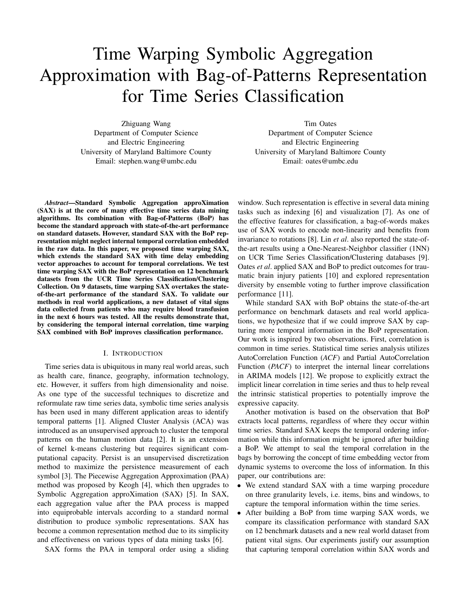# Time Warping Symbolic Aggregation Approximation with Bag-of-Patterns Representation for Time Series Classification

Zhiguang Wang Department of Computer Science and Electric Engineering University of Maryland Baltimore County Email: stephen.wang@umbc.edu

Tim Oates Department of Computer Science and Electric Engineering University of Maryland Baltimore County Email: oates@umbc.edu

*Abstract*—Standard Symbolic Aggregation approXimation (SAX) is at the core of many effective time series data mining algorithms. Its combination with Bag-of-Patterns (BoP) has become the standard approach with state-of-the-art performance on standard datasets. However, standard SAX with the BoP representation might neglect internal temporal correlation embedded in the raw data. In this paper, we proposed time warping SAX, which extends the standard SAX with time delay embedding vector approaches to account for temporal correlations. We test time warping SAX with the BoP representation on 12 benchmark datasets from the UCR Time Series Classification/Clustering Collection. On 9 datasets, time warping SAX overtakes the stateof-the-art performance of the standard SAX. To validate our methods in real world applications, a new dataset of vital signs data collected from patients who may require blood transfusion in the next 6 hours was tested. All the results demonstrate that, by considering the temporal internal correlation, time warping SAX combined with BoP improves classification performance.

## I. INTRODUCTION

Time series data is ubiquitous in many real world areas, such as health care, finance, geography, information technology, etc. However, it suffers from high dimensionality and noise. As one type of the successful techniques to discretize and reformulate raw time series data, symbolic time series analysis has been used in many different application areas to identify temporal patterns [1]. Aligned Cluster Analysis (ACA) was introduced as an unsupervised approach to cluster the temporal patterns on the human motion data [2]. It is an extension of kernel k-means clustering but requires significant computational capacity. Persist is an unsupervised discretization method to maximize the persistence measurement of each symbol [3]. The Piecewise Aggregation Approximation (PAA) method was proposed by Keogh [4], which then upgrades to Symbolic Aggregation approXimation (SAX) [5]. In SAX, each aggregation value after the PAA process is mapped into equiprobable intervals according to a standard normal distribution to produce symbolic representations. SAX has become a common representation method due to its simplicity and effectiveness on various types of data mining tasks [6].

SAX forms the PAA in temporal order using a sliding

window. Such representation is effective in several data mining tasks such as indexing [6] and visualization [7]. As one of the effective features for classification, a bag-of-words makes use of SAX words to encode non-linearity and benefits from invariance to rotations [8]. Lin *et al*. also reported the state-ofthe-art results using a One-Nearest-Neighbor classifier (1NN) on UCR Time Series Classification/Clustering databases [9]. Oates *et al*. applied SAX and BoP to predict outcomes for traumatic brain injury patients [10] and explored representation diversity by ensemble voting to further improve classification performance [11].

While standard SAX with BoP obtains the state-of-the-art performance on benchmark datasets and real world applications, we hypothesize that if we could improve SAX by capturing more temporal information in the BoP representation. Our work is inspired by two observations. First, correlation is common in time series. Statistical time series analysis utilizes AutoCorrelation Function (*ACF*) and Partial AutoCorrelation Function (*PACF*) to interpret the internal linear correlations in ARIMA models [12]. We propose to explicitly extract the implicit linear correlation in time series and thus to help reveal the intrinsic statistical properties to potentially improve the expressive capacity.

Another motivation is based on the observation that BoP extracts local patterns, regardless of where they occur within time series. Standard SAX keeps the temporal ordering information while this information might be ignored after building a BoP. We attempt to seal the temporal correlation in the bags by borrowing the concept of time embedding vector from dynamic systems to overcome the loss of information. In this paper, our contributions are:

- We extend standard SAX with a time warping procedure on three granularity levels, i.e. items, bins and windows, to capture the temporal information within the time series.
- After building a BoP from time warping SAX words, we compare its classification performance with standard SAX on 12 benchmark datasets and a new real world dataset from patient vital signs. Our experiments justify our assumption that capturing temporal correlation within SAX words and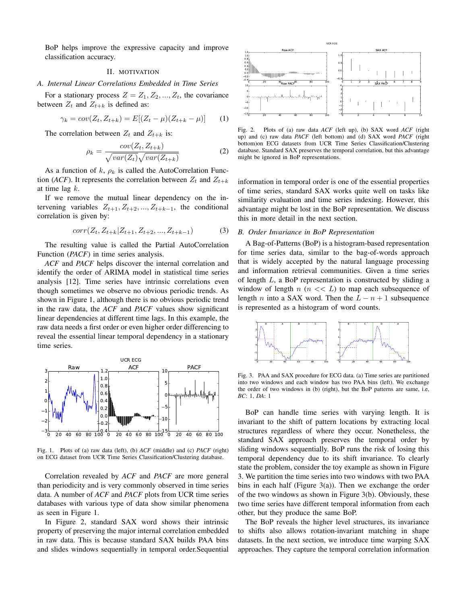BoP helps improve the expressive capacity and improve classification accuracy.

#### II. MOTIVATION

#### *A. Internal Linear Correlations Embedded in Time Series*

For a stationary process  $Z = Z_1, Z_2, ..., Z_t$ , the covariance between  $Z_t$  and  $Z_{t+k}$  is defined as:

$$
\gamma_k = cov(Z_t, Z_{t+k}) = E[(Z_t - \mu)(Z_{t+k} - \mu)] \tag{1}
$$

The correlation between  $Z_t$  and  $Z_{t+k}$  is:

$$
\rho_k = \frac{cov(Z_t, Z_{t+k})}{\sqrt{var(Z_t)}\sqrt{var(Z_{t+k})}}
$$
(2)

As a function of k,  $\rho_k$  is called the AutoCorrelation Function (*ACF*). It represents the correlation between  $Z_t$  and  $Z_{t+k}$ at time lag  $k$ .

If we remove the mutual linear dependency on the intervening variables  $Z_{t+1}, Z_{t+2}, ..., Z_{t+k-1}$ , the conditional correlation is given by:

$$
corr(Z_t, Z_{t+k}|Z_{t+1}, Z_{t+2}, ..., Z_{t+k-1})
$$
\n(3)

The resulting value is called the Partial AutoCorrelation Function (*PACF*) in time series analysis.

*ACF* and *PACF* helps discover the internal correlation and identify the order of ARIMA model in statistical time series analysis [12]. Time series have intrinsic correlations even though sometimes we observe no obvious periodic trends. As shown in Figure 1, although there is no obvious periodic trend in the raw data, the *ACF* and *PACF* values show significant linear dependencies at different time lags. In this example, the raw data needs a first order or even higher order differencing to reveal the essential linear temporal dependency in a stationary time series.



Fig. 1. Plots of (a) raw data (left), (b) *ACF* (middle) and (c) *PACF* (right) on ECG dataset from UCR Time Series Classification/Clustering database.

Correlation revealed by *ACF* and *PACF* are more general than periodicity and is very commonly observed in time series data. A number of *ACF* and *PACF* plots from UCR time series databases with various type of data show similar phenomena as seen in Figure 1.

In Figure 2, standard SAX word shows their intrinsic property of preserving the major internal correlation embedded in raw data. This is because standard SAX builds PAA bins and slides windows sequentially in temporal order.Sequential



Fig. 2. Plots of (a) raw data *ACF* (left up), (b) SAX word *ACF* (right up) and (c) raw data *PACF* (left bottom) and (d) SAX word *PACF* (right bottom)on ECG datasets from UCR Time Series Classification/Clustering database. Standard SAX preserves the temporal correlation, but this advantage might be ignored in BoP representations.

information in temporal order is one of the essential properties of time series, standard SAX works quite well on tasks like similarity evaluation and time series indexing. However, this advantage might be lost in the BoP representation. We discuss this in more detail in the next section.

## *B. Order Invariance in BoP Representation*

A Bag-of-Patterns (BoP) is a histogram-based representation for time series data, similar to the bag-of-words approach that is widely accepted by the natural language processing and information retrieval communities. Given a time series of length L, a BoP representation is constructed by sliding a window of length  $n \leq L$  to map each subsequence of length *n* into a SAX word. Then the  $L - n + 1$  subsequence is represented as a histogram of word counts.



Fig. 3. PAA and SAX procedure for ECG data. (a) Time series are partitioned into two windows and each window has two PAA bins (left). We exchange the order of two windows in (b) (right), but the BoP patterns are same, i.e, *BC*: 1, *DA*: 1

BoP can handle time series with varying length. It is invariant to the shift of pattern locations by extracting local structures regardless of where they occur. Nonetheless, the standard SAX approach preserves the temporal order by sliding windows sequentially. BoP runs the risk of losing this temporal dependency due to its shift invariance. To clearly state the problem, consider the toy example as shown in Figure 3. We partition the time series into two windows with two PAA bins in each half (Figure  $3(a)$ ). Then we exchange the order of the two windows as shown in Figure 3(b). Obviously, these two time series have different temporal information from each other, but they produce the same BoP.

The BoP reveals the higher level structures, its invariance to shifts also allows rotation-invariant matching in shape datasets. In the next section, we introduce time warping SAX approaches. They capture the temporal correlation information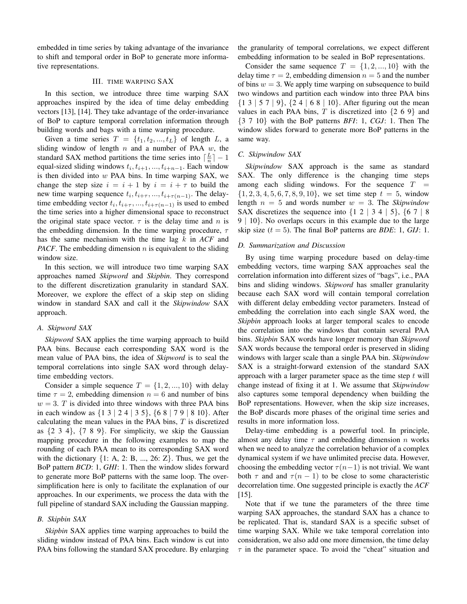embedded in time series by taking advantage of the invariance to shift and temporal order in BoP to generate more informative representations.

# III. TIME WARPING SAX

In this section, we introduce three time warping SAX approaches inspired by the idea of time delay embedding vectors [13], [14]. They take advantage of the order-invariance of BoP to capture temporal correlation information through building words and bags with a time warping procedure.

Given a time series  $T = \{t_1, t_2, ..., t_L\}$  of length L, a sliding window of length  $n$  and a number of PAA  $w$ , the standard SAX method partitions the time series into  $\lceil \frac{L}{n} \rceil - 1$ equal-sized sliding windows  $t_i, t_{i+1}, ..., t_{i+n-1}$ . Each window is then divided into  $w$  PAA bins. In time warping SAX, we change the step size  $i = i + 1$  by  $i = i + \tau$  to build the new time warping sequence  $t_i, t_{i+\tau}, ..., t_{i+\tau(n-1)}$ . The delaytime embedding vector  $t_i, t_{i+\tau}, ..., t_{i+\tau(n-1)}$  is used to embed the time series into a higher dimensional space to reconstruct the original state space vector.  $\tau$  is the delay time and n is the embedding dimension. In the time warping procedure,  $\tau$ has the same mechanism with the time lag k in *ACF* and *PACF*. The embedding dimension  $n$  is equivalent to the sliding window size.

In this section, we will introduce two time warping SAX approaches named *Skipword* and *Skipbin*. They correspond to the different discretization granularity in standard SAX. Moreover, we explore the effect of a skip step on sliding window in standard SAX and call it the *Skipwindow* SAX approach.

## *A. Skipword SAX*

*Skipword* SAX applies the time warping approach to build PAA bins. Because each corresponding SAX word is the mean value of PAA bins, the idea of *Skipword* is to seal the temporal correlations into single SAX word through delaytime embedding vectors.

Consider a simple sequence  $T = \{1, 2, ..., 10\}$  with delay time  $\tau = 2$ , embedding dimension  $n = 6$  and number of bins  $w = 3$ . T is divided into three windows with three PAA bins in each window as {1 3 | 2 4 | 3 5}, {6 8 | 7 9 | 8 10}. After calculating the mean values in the PAA bins, T is discretized as  $\{2, 3, 4\}$ ,  $\{7, 8, 9\}$ . For simplicity, we skip the Gaussian mapping procedure in the following examples to map the rounding of each PAA mean to its corresponding SAX word with the dictionary  $\{1: A, 2: B, ..., 26: Z\}$ . Thus, we get the BoP pattern *BCD*: 1, *GHI*: 1. Then the window slides forward to generate more BoP patterns with the same loop. The oversimplification here is only to facilitate the explanation of our approaches. In our experiments, we process the data with the full pipeline of standard SAX including the Gaussian mapping.

# *B. Skipbin SAX*

*Skipbin* SAX applies time warping approaches to build the sliding window instead of PAA bins. Each window is cut into PAA bins following the standard SAX procedure. By enlarging the granularity of temporal correlations, we expect different embedding information to be sealed in BoP representations.

Consider the same sequence  $T = \{1, 2, ..., 10\}$  with the delay time  $\tau = 2$ , embedding dimension  $n = 5$  and the number of bins  $w = 3$ . We apply time warping on subsequence to build two windows and partition each window into three PAA bins  $\{1\ 3\ 3\ 5\ 7\ 9\},\{2\ 4\ 6\ 8\ 10\}.$  After figuring out the mean values in each PAA bins, T is discretized into  $\{2, 6, 9\}$  and {3 7 10} with the BoP patterns *BFI*: 1, *CGJ*: 1. Then The window slides forward to generate more BoP patterns in the same way.

#### *C. Skipwindow SAX*

*Skipwindow* SAX approach is the same as standard SAX. The only difference is the changing time steps among each sliding windows. For the sequence  $T$  $\{1, 2, 3, 4, 5, 6, 7, 8, 9, 10\}$ , we set time step  $t = 5$ , window length  $n = 5$  and words number  $w = 3$ . The *Skipwindow* SAX discretizes the sequence into  $\{1 \ 2 \ 3 \ 4 \ 5\}$ ,  $\{6 \ 7 \ 8 \}$ 9 | 10}. No overlaps occurs in this example due to the large skip size  $(t = 5)$ . The final BoP patterns are *BDE*: 1, *GIJ*: 1.

#### *D. Summarization and Discussion*

By using time warping procedure based on delay-time embedding vectors, time warping SAX approaches seal the correlation information into different sizes of "bags", i.e., PAA bins and sliding windows. *Skipword* has smaller granularity because each SAX word will contain temporal correlation with different delay embedding vector parameters. Instead of embedding the correlation into each single SAX word, the *Skipbin* approach looks at larger temporal scales to encode the correlation into the windows that contain several PAA bins. *Skipbin* SAX words have longer memory than *Skipword* SAX words because the temporal order is preserved in sliding windows with larger scale than a single PAA bin. *Skipwindow* SAX is a straight-forward extension of the standard SAX approach with a larger parameter space as the time step  $t$  will change instead of fixing it at 1. We assume that *Skipwindow* also captures some temporal dependency when building the BoP representations. However, when the skip size increases, the BoP discards more phases of the original time series and results in more information loss.

Delay-time embedding is a powerful tool. In principle, almost any delay time  $\tau$  and embedding dimension n works when we need to analyze the correlation behavior of a complex dynamical system if we have unlimited precise data. However, choosing the embedding vector  $\tau(n-1)$  is not trivial. We want both  $\tau$  and and  $\tau(n-1)$  to be close to some characteristic decorrelation time. One suggested principle is exactly the *ACF* [15].

Note that if we tune the parameters of the three time warping SAX approaches, the standard SAX has a chance to be replicated. That is, standard SAX is a specific subset of time warping SAX. While we take temporal correlation into consideration, we also add one more dimension, the time delay  $\tau$  in the parameter space. To avoid the "cheat" situation and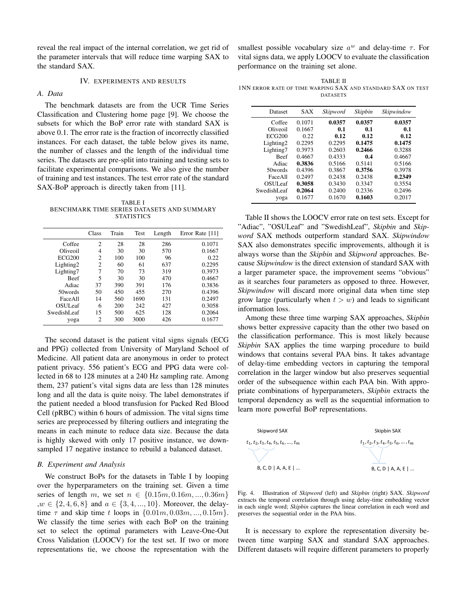reveal the real impact of the internal correlation, we get rid of the parameter intervals that will reduce time warping SAX to the standard SAX.

# IV. EXPERIMENTS AND RESULTS

# *A. Data*

The benchmark datasets are from the UCR Time Series Classification and Clustering home page [9]. We choose the subsets for which the BoP error rate with standard SAX is above 0.1. The error rate is the fraction of incorrectly classified instances. For each dataset, the table below gives its name, the number of classes and the length of the individual time series. The datasets are pre-split into training and testing sets to facilitate experimental comparisons. We also give the number of training and test instances. The test error rate of the standard SAX-BoP approach is directly taken from [11].

TABLE I BENCHMARK TIME SERIES DATASETS AND SUMMARY **STATISTICS** 

|                     | Class          | Train | Test | Length | Error Rate [11] |
|---------------------|----------------|-------|------|--------|-----------------|
| Coffee              | $\overline{c}$ | 28    | 28   | 286    | 0.1071          |
| Oliveoil            | 4              | 30    | 30   | 570    | 0.1667          |
| <b>ECG200</b>       | $\overline{c}$ | 100   | 100  | 96     | 0.22            |
| Lighting2           | 2              | 60    | 61   | 637    | 0.2295          |
| Lighting7           | 7              | 70    | 73   | 319    | 0.3973          |
| <b>Beef</b>         | 5              | 30    | 30   | 470    | 0.4667          |
| Adiac               | 37             | 390   | 391  | 176    | 0.3836          |
| 50 words            | 50             | 450   | 455  | 270    | 0.4396          |
| FaceAll             | 14             | 560   | 1690 | 131    | 0.2497          |
| OSUL <sub>eaf</sub> | 6              | 200   | 242  | 427    | 0.3058          |
| SwedishI eaf        | 15             | 500   | 625  | 128    | 0.2064          |
| yoga                | $\overline{c}$ | 300   | 3000 | 426    | 0.1677          |

The second dataset is the patient vital signs signals (ECG and PPG) collected from University of Maryland School of Medicine. All patient data are anonymous in order to protect patient privacy. 556 patient's ECG and PPG data were collected in 68 to 128 minutes at a 240 Hz sampling rate. Among them, 237 patient's vital signs data are less than 128 minutes long and all the data is quite noisy. The label demonstrates if the patient needed a blood transfusion for Packed Red Blood Cell (pRBC) within 6 hours of admission. The vital signs time series are preprocessed by filtering outliers and integrating the means in each minute to reduce data size. Because the data is highly skewed with only 17 positive instance, we downsampled 17 negative instance to rebuild a balanced dataset.

#### *B. Experiment and Analysis*

We construct BoPs for the datasets in Table I by looping over the hyperparameters on the training set. Given a time series of length m, we set  $n \in \{0.15m, 0.16m, ..., 0.36m\}$  $, w \in \{2, 4, 6, 8\}$  and  $a \in \{3, 4, ..., 10\}$ . Moreover, the delaytime  $\tau$  and skip time t loops in  $\{0.01m, 0.03m, \ldots, 0.15m\}$ . We classify the time series with each BoP on the training set to select the optimal parameters with Leave-One-Out Cross Validation (LOOCV) for the test set. If two or more representations tie, we choose the representation with the

smallest possible vocabulary size  $a^w$  and delay-time  $\tau$ . For vital signs data, we apply LOOCV to evaluate the classification performance on the training set alone.

TABLE II 1NN ERROR RATE OF TIME WARPING SAX AND STANDARD SAX ON TEST DATASETS

| Dataset       | SAX    | Skipword | Skipbin | Skipwindow |
|---------------|--------|----------|---------|------------|
| Coffee        | 0.1071 | 0.0357   | 0.0357  | 0.0357     |
| Oliveoil      | 0.1667 | 0.1      | 0.1     | 0.1        |
| <b>ECG200</b> | 0.22   | 0.12     | 0.12    | 0.12       |
| Lighting2     | 0.2295 | 0.2295   | 0.1475  | 0.1475     |
| Lighting7     | 0.3973 | 0.2603   | 0.2466  | 0.3288     |
| <b>Beef</b>   | 0.4667 | 0.4333   | 0.4     | 0.4667     |
| Adiac         | 0.3836 | 0.5166   | 0.5141  | 0.5166     |
| 50 words      | 0.4396 | 0.3867   | 0.3756  | 0.3978     |
| FaceAll       | 0.2497 | 0.2438   | 0.2438  | 0.2349     |
| OSULeaf       | 0.3058 | 0.3430   | 0.3347  | 0.3554     |
| SwedishLeaf   | 0.2064 | 0.2400   | 0.2336  | 0.2496     |
| yoga          | 0.1677 | 0.1670   | 0.1603  | 0.2017     |

Table II shows the LOOCV error rate on test sets. Except for "Adiac", "OSULeaf" and "SwedishLeaf", *Skipbin* and *Skipword* SAX methods outperform standard SAX. *Skipwindow* SAX also demonstrates specific improvements, although it is always worse than the *Skipbin* and *Skipword* approaches. Because *Skipwindow* is the direct extension of standard SAX with a larger parameter space, the improvement seems "obvious" as it searches four parameters as opposed to three. However, *Skipwindow* will discard more original data when time step grow large (particularly when  $t > w$ ) and leads to significant information loss.

Among these three time warping SAX approaches, *Skipbin* shows better expressive capacity than the other two based on the classification performance. This is most likely because *Skipbin* SAX applies the time warping procedure to build windows that contains several PAA bins. It takes advantage of delay-time embedding vectors in capturing the temporal correlation in the larger window but also preserves sequential order of the subsequence within each PAA bin. With appropriate combinations of hyperparameters, *Skipbin* extracts the temporal dependency as well as the sequential information to learn more powerful BoP representations.



Fig. 4. Illustration of *Skipword* (left) and *Skipbin* (right) SAX. *Skipword* extracts the temporal correlation through using delay-time embedding vector in each single word; *Skipbin* captures the linear correlation in each word and preserves the sequential order in the PAA bins.

It is necessary to explore the representation diversity between time warping SAX and standard SAX approaches. Different datasets will require different parameters to properly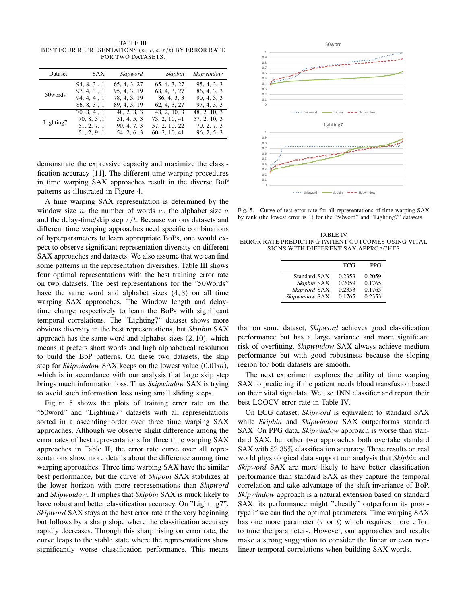TABLE III BEST FOUR REPRESENTATIONS  $(n, w, a, \tau/t)$  BY ERROR RATE FOR TWO DATASETS.

| Dataset   | SAX         | Skipword     | Skipbin       | Skipwindow   |
|-----------|-------------|--------------|---------------|--------------|
| 50 words  | 94, 8, 3, 1 | 65, 4, 3, 27 | 65, 4, 3, 27  | 95, 4, 3, 3  |
|           | 97, 4, 3, 1 | 95, 4, 3, 19 | 68, 4, 3, 27  | 86, 4, 3, 3  |
|           | 94.4.4.1    | 78, 4, 3, 19 | 86, 4, 3, 3   | 90, 4, 3, 3  |
|           | 86, 8, 3, 1 | 89, 4, 3, 19 | 62, 4, 3, 27  | 97, 4, 3, 3  |
| Lighting7 | 70, 8, 4, 1 | 48, 2, 8, 3  | 48, 2, 10, 3  | 48, 2, 10, 3 |
|           | 70, 8, 3, 1 | 51, 4, 5, 3  | 73, 2, 10, 41 | 57, 2, 10, 3 |
|           | 51, 2, 7, 1 | 90, 4, 7, 3  | 57, 2, 10, 22 | 70, 2, 7, 3  |
|           | 51, 2, 9, 1 | 54, 2, 6, 3  | 60, 2, 10, 41 | 96, 2, 5, 3  |

demonstrate the expressive capacity and maximize the classification accuracy [11]. The different time warping procedures in time warping SAX approaches result in the diverse BoP patterns as illustrated in Figure 4.

A time warping SAX representation is determined by the window size *n*, the number of words *w*, the alphabet size *a* and the delay-time/skip step  $\tau/t$ . Because various datasets and different time warping approaches need specific combinations of hyperparameters to learn appropriate BoPs, one would expect to observe significant representation diversity on different SAX approaches and datasets. We also assume that we can find some patterns in the representation diversities. Table III shows four optimal representations with the best training error rate on two datasets. The best representations for the "50Words" have the same word and alphabet sizes  $(4, 3)$  on all time warping SAX approaches. The Window length and delaytime change respectively to learn the BoPs with significant temporal correlations. The "Lighting7" dataset shows more obvious diversity in the best representations, but *Skipbin* SAX approach has the same word and alphabet sizes  $(2, 10)$ , which means it prefers short words and high alphabetical resolution to build the BoP patterns. On these two datasets, the skip step for *Skipwindow* SAX keeps on the lowest value (0.01m), which is in accordance with our analysis that large skip step brings much information loss. Thus *Skipwindow* SAX is trying to avoid such information loss using small sliding steps.

Figure 5 shows the plots of training error rate on the "50word" and "Lighting7" datasets with all representations sorted in a ascending order over three time warping SAX approaches. Although we observe slight difference among the error rates of best representations for three time warping SAX approaches in Table II, the error rate curve over all representations show more details about the difference among time warping approaches. Three time warping SAX have the similar best performance, but the curve of *Skipbin* SAX stabilizes at the lower horizon with more representations than *Skipword* and *Skipwindow*. It implies that *Skipbin* SAX is muck likely to have robust and better classification accuracy. On "Lighting7", *Skipword* SAX stays at the best error rate at the very beginning but follows by a sharp slope where the classification accuracy rapidly decreases. Through this sharp rising on error rate, the curve leaps to the stable state where the representations show significantly worse classification performance. This means



Fig. 5. Curve of test error rate for all representations of time warping SAX by rank (the lowest error is 1) for the "50word" and "Lighting7" datasets.

TABLE IV ERROR RATE PREDICTING PATIENT OUTCOMES USING VITAL SIGNS WITH DIFFERENT SAX APPROACHES

|                                                               | ECG                                  | PPG                                  |
|---------------------------------------------------------------|--------------------------------------|--------------------------------------|
| Standard SAX<br>Skipbin SAX<br>Skipword SAX<br>Skipwindow SAX | 0.2353<br>0.2059<br>0.2353<br>0.1765 | 0.2059<br>0.1765<br>0.1765<br>0.2353 |

that on some dataset, *Skipword* achieves good classification performance but has a large variance and more significant risk of overfitting. *Skipwindow* SAX always achieve medium performance but with good robustness because the sloping region for both datasets are smooth.

The next experiment explores the utility of time warping SAX to predicting if the patient needs blood transfusion based on their vital sign data. We use 1NN classifier and report their best LOOCV error rate in Table IV.

On ECG dataset, *Skipword* is equivalent to standard SAX while *Skipbin* and *Skipwindow* SAX outperforms standard SAX. On PPG data, *Skipwindow* approach is worse than standard SAX, but other two approaches both overtake standard SAX with 82.35% classification accuracy. These results on real world physiological data support our analysis that *Skipbin* and *Skipword* SAX are more likely to have better classification performance than standard SAX as they capture the temporal correlation and take advantage of the shift-invariance of BoP. *Skipwindow* approach is a natural extension based on standard SAX, its performance might "cheatly" outperform its prototype if we can find the optimal parameters. Time warping SAX has one more parameter  $(\tau \text{ or } t)$  which requires more effort to tune the parameters. However, our approaches and results make a strong suggestion to consider the linear or even nonlinear temporal correlations when building SAX words.